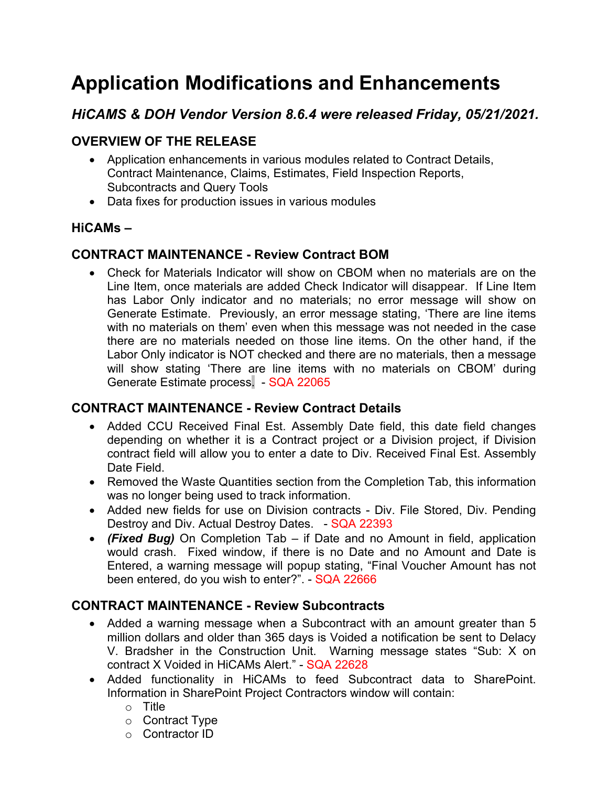# **Application Modifications and Enhancements**

# *HiCAMS & DOH Vendor Version 8.6.4 were released Friday, 05/21/2021.*

## **OVERVIEW OF THE RELEASE**

- Application enhancements in various modules related to Contract Details, Contract Maintenance, Claims, Estimates, Field Inspection Reports, Subcontracts and Query Tools
- Data fixes for production issues in various modules

#### **HiCAMs –**

#### **CONTRACT MAINTENANCE - Review Contract BOM**

• Check for Materials Indicator will show on CBOM when no materials are on the Line Item, once materials are added Check Indicator will disappear. If Line Item has Labor Only indicator and no materials; no error message will show on Generate Estimate. Previously, an error message stating, 'There are line items with no materials on them' even when this message was not needed in the case there are no materials needed on those line items. On the other hand, if the Labor Only indicator is NOT checked and there are no materials, then a message will show stating 'There are line items with no materials on CBOM' during Generate Estimate process. - SQA 22065

#### **CONTRACT MAINTENANCE - Review Contract Details**

- Added CCU Received Final Est. Assembly Date field, this date field changes depending on whether it is a Contract project or a Division project, if Division contract field will allow you to enter a date to Div. Received Final Est. Assembly Date Field.
- Removed the Waste Quantities section from the Completion Tab, this information was no longer being used to track information.
- Added new fields for use on Division contracts Div. File Stored, Div. Pending Destroy and Div. Actual Destroy Dates. - SQA 22393
- *(Fixed Bug)* On Completion Tab if Date and no Amount in field, application would crash. Fixed window, if there is no Date and no Amount and Date is Entered, a warning message will popup stating, "Final Voucher Amount has not been entered, do you wish to enter?" - SQA 22666

#### **CONTRACT MAINTENANCE - Review Subcontracts**

- Added a warning message when a Subcontract with an amount greater than 5 million dollars and older than 365 days is Voided a notification be sent to Delacy V. Bradsher in the Construction Unit. Warning message states "Sub: X on contract X Voided in HiCAMs Alert." - SQA 22628
- Added functionality in HiCAMs to feed Subcontract data to SharePoint. Information in SharePoint Project Contractors window will contain:
	- o Title
	- o Contract Type
	- o Contractor ID